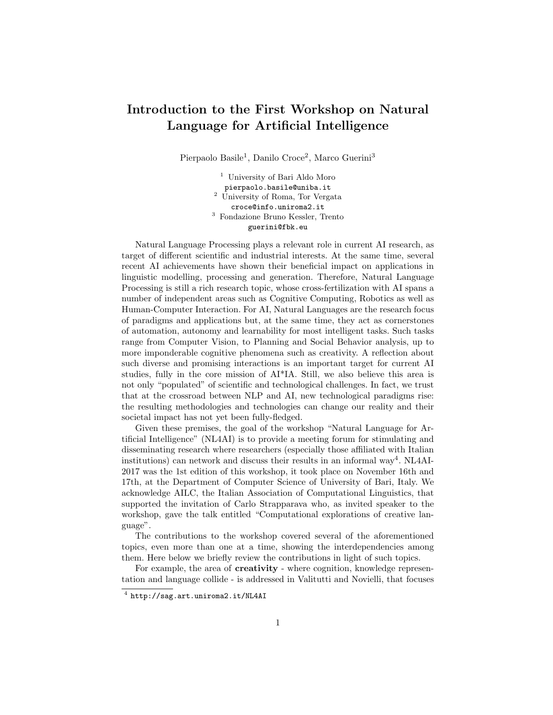## Introduction to the First Workshop on Natural Language for Artificial Intelligence

Pierpaolo Basile<sup>1</sup>, Danilo Croce<sup>2</sup>, Marco Guerini<sup>3</sup>

<sup>1</sup> University of Bari Aldo Moro pierpaolo.basile@uniba.it <sup>2</sup> University of Roma, Tor Vergata croce@info.uniroma2.it <sup>3</sup> Fondazione Bruno Kessler, Trento guerini@fbk.eu

Natural Language Processing plays a relevant role in current AI research, as target of different scientific and industrial interests. At the same time, several recent AI achievements have shown their beneficial impact on applications in linguistic modelling, processing and generation. Therefore, Natural Language Processing is still a rich research topic, whose cross-fertilization with AI spans a number of independent areas such as Cognitive Computing, Robotics as well as Human-Computer Interaction. For AI, Natural Languages are the research focus of paradigms and applications but, at the same time, they act as cornerstones of automation, autonomy and learnability for most intelligent tasks. Such tasks range from Computer Vision, to Planning and Social Behavior analysis, up to more imponderable cognitive phenomena such as creativity. A reflection about such diverse and promising interactions is an important target for current AI studies, fully in the core mission of AI\*IA. Still, we also believe this area is not only "populated" of scientific and technological challenges. In fact, we trust that at the crossroad between NLP and AI, new technological paradigms rise: the resulting methodologies and technologies can change our reality and their societal impact has not yet been fully-fledged.

Given these premises, the goal of the workshop "Natural Language for Artificial Intelligence" (NL4AI) is to provide a meeting forum for stimulating and disseminating research where researchers (especially those affiliated with Italian institutions) can network and discuss their results in an informal way<sup>4</sup>. NL4AI-2017 was the 1st edition of this workshop, it took place on November 16th and 17th, at the Department of Computer Science of University of Bari, Italy. We acknowledge AILC, the Italian Association of Computational Linguistics, that supported the invitation of Carlo Strapparava who, as invited speaker to the workshop, gave the talk entitled "Computational explorations of creative language".

The contributions to the workshop covered several of the aforementioned topics, even more than one at a time, showing the interdependencies among them. Here below we briefly review the contributions in light of such topics.

For example, the area of creativity - where cognition, knowledge representation and language collide - is addressed in Valitutti and Novielli, that focuses

<sup>4</sup> http://sag.art.uniroma2.it/NL4AI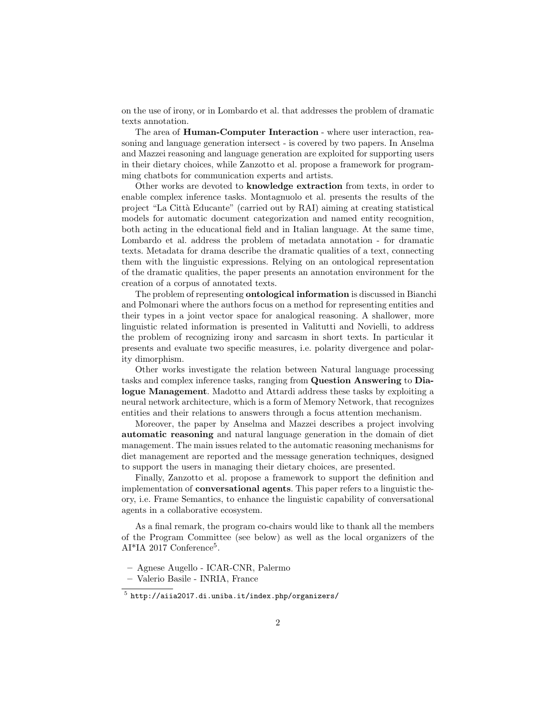on the use of irony, or in Lombardo et al. that addresses the problem of dramatic texts annotation.

The area of Human-Computer Interaction - where user interaction, reasoning and language generation intersect - is covered by two papers. In Anselma and Mazzei reasoning and language generation are exploited for supporting users in their dietary choices, while Zanzotto et al. propose a framework for programming chatbots for communication experts and artists.

Other works are devoted to knowledge extraction from texts, in order to enable complex inference tasks. Montagnuolo et al. presents the results of the project "La Citt`a Educante" (carried out by RAI) aiming at creating statistical models for automatic document categorization and named entity recognition, both acting in the educational field and in Italian language. At the same time, Lombardo et al. address the problem of metadata annotation - for dramatic texts. Metadata for drama describe the dramatic qualities of a text, connecting them with the linguistic expressions. Relying on an ontological representation of the dramatic qualities, the paper presents an annotation environment for the creation of a corpus of annotated texts.

The problem of representing ontological information is discussed in Bianchi and Polmonari where the authors focus on a method for representing entities and their types in a joint vector space for analogical reasoning. A shallower, more linguistic related information is presented in Valitutti and Novielli, to address the problem of recognizing irony and sarcasm in short texts. In particular it presents and evaluate two specific measures, i.e. polarity divergence and polarity dimorphism.

Other works investigate the relation between Natural language processing tasks and complex inference tasks, ranging from Question Answering to Dialogue Management. Madotto and Attardi address these tasks by exploiting a neural network architecture, which is a form of Memory Network, that recognizes entities and their relations to answers through a focus attention mechanism.

Moreover, the paper by Anselma and Mazzei describes a project involving automatic reasoning and natural language generation in the domain of diet management. The main issues related to the automatic reasoning mechanisms for diet management are reported and the message generation techniques, designed to support the users in managing their dietary choices, are presented.

Finally, Zanzotto et al. propose a framework to support the definition and implementation of conversational agents. This paper refers to a linguistic theory, i.e. Frame Semantics, to enhance the linguistic capability of conversational agents in a collaborative ecosystem.

As a final remark, the program co-chairs would like to thank all the members of the Program Committee (see below) as well as the local organizers of the AI\*IA 2017 Conference<sup>5</sup>.

<sup>–</sup> Agnese Augello - ICAR-CNR, Palermo

<sup>–</sup> Valerio Basile - INRIA, France

 $^5$  http://aiia2017.di.uniba.it/index.php/organizers/